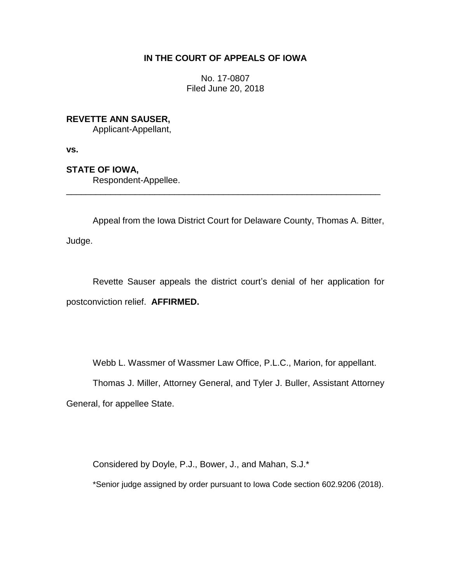## **IN THE COURT OF APPEALS OF IOWA**

No. 17-0807 Filed June 20, 2018

**REVETTE ANN SAUSER,**

Applicant-Appellant,

**vs.**

**STATE OF IOWA,**

Respondent-Appellee.

Appeal from the Iowa District Court for Delaware County, Thomas A. Bitter, Judge.

\_\_\_\_\_\_\_\_\_\_\_\_\_\_\_\_\_\_\_\_\_\_\_\_\_\_\_\_\_\_\_\_\_\_\_\_\_\_\_\_\_\_\_\_\_\_\_\_\_\_\_\_\_\_\_\_\_\_\_\_\_\_\_\_

Revette Sauser appeals the district court's denial of her application for postconviction relief. **AFFIRMED.**

Webb L. Wassmer of Wassmer Law Office, P.L.C., Marion, for appellant.

Thomas J. Miller, Attorney General, and Tyler J. Buller, Assistant Attorney General, for appellee State.

Considered by Doyle, P.J., Bower, J., and Mahan, S.J.\*

\*Senior judge assigned by order pursuant to Iowa Code section 602.9206 (2018).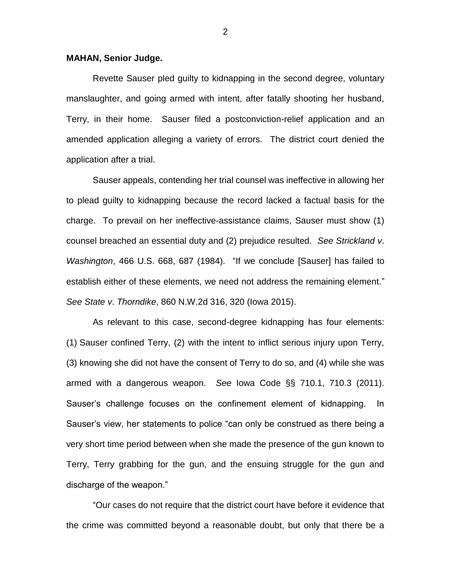## **MAHAN, Senior Judge.**

Revette Sauser pled guilty to kidnapping in the second degree, voluntary manslaughter, and going armed with intent, after fatally shooting her husband, Terry, in their home. Sauser filed a postconviction-relief application and an amended application alleging a variety of errors. The district court denied the application after a trial.

Sauser appeals, contending her trial counsel was ineffective in allowing her to plead guilty to kidnapping because the record lacked a factual basis for the charge. To prevail on her ineffective-assistance claims, Sauser must show (1) counsel breached an essential duty and (2) prejudice resulted. *See Strickland v*. *Washington*, 466 U.S. 668, 687 (1984). "If we conclude [Sauser] has failed to establish either of these elements, we need not address the remaining element." *See State v*. *Thorndike*, 860 N.W.2d 316, 320 (Iowa 2015).

As relevant to this case, second-degree kidnapping has four elements: (1) Sauser confined Terry, (2) with the intent to inflict serious injury upon Terry, (3) knowing she did not have the consent of Terry to do so, and (4) while she was armed with a dangerous weapon. *See* Iowa Code §§ 710.1, 710.3 (2011). Sauser's challenge focuses on the confinement element of kidnapping. In Sauser's view, her statements to police "can only be construed as there being a very short time period between when she made the presence of the gun known to Terry, Terry grabbing for the gun, and the ensuing struggle for the gun and discharge of the weapon."

"Our cases do not require that the district court have before it evidence that the crime was committed beyond a reasonable doubt, but only that there be a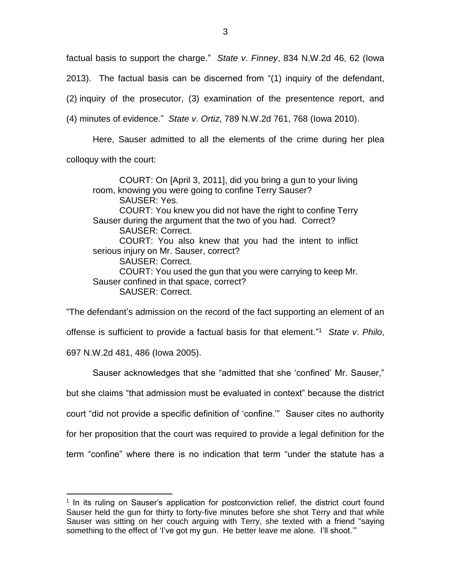factual basis to support the charge." *State v*. *Finney*, 834 N.W.2d 46, 62 (Iowa 2013). The factual basis can be discerned from "(1) inquiry of the defendant, (2) inquiry of the prosecutor, (3) examination of the presentence report, and (4) minutes of evidence." *State v*. *Ortiz*, 789 N.W.2d 761, 768 (Iowa 2010).

Here, Sauser admitted to all the elements of the crime during her plea colloquy with the court:

COURT: On [April 3, 2011], did you bring a gun to your living room, knowing you were going to confine Terry Sauser? SAUSER: Yes. COURT: You knew you did not have the right to confine Terry Sauser during the argument that the two of you had. Correct? SAUSER: Correct. COURT: You also knew that you had the intent to inflict serious injury on Mr. Sauser, correct? SAUSER: Correct. COURT: You used the gun that you were carrying to keep Mr. Sauser confined in that space, correct? SAUSER: Correct.

"The defendant's admission on the record of the fact supporting an element of an offense is sufficient to provide a factual basis for that element." 1 *State v*. *Philo*, 697 N.W.2d 481, 486 (Iowa 2005).

Sauser acknowledges that she "admitted that she 'confined' Mr. Sauser," but she claims "that admission must be evaluated in context" because the district court "did not provide a specific definition of 'confine.'" Sauser cites no authority for her proposition that the court was required to provide a legal definition for the term "confine" where there is no indication that term "under the statute has a

 $\overline{a}$ 

<sup>&</sup>lt;sup>1</sup> In its ruling on Sauser's application for postconviction relief, the district court found Sauser held the gun for thirty to forty-five minutes before she shot Terry and that while Sauser was sitting on her couch arguing with Terry, she texted with a friend "saying something to the effect of 'I've got my gun. He better leave me alone. I'll shoot.'"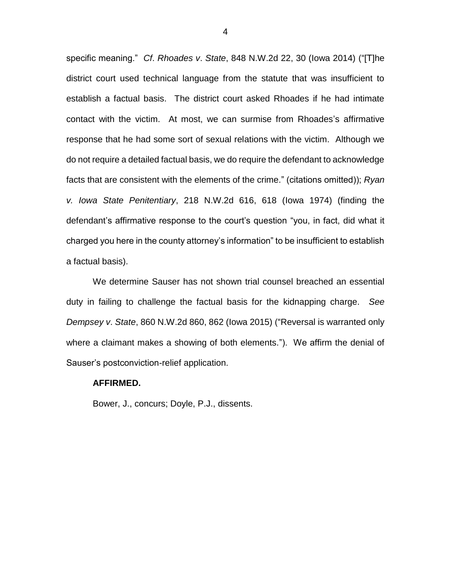specific meaning." *Cf*. *Rhoades v*. *State*, 848 N.W.2d 22, 30 (Iowa 2014) ("[T]he district court used technical language from the statute that was insufficient to establish a factual basis. The district court asked Rhoades if he had intimate contact with the victim. At most, we can surmise from Rhoades's affirmative response that he had some sort of sexual relations with the victim. Although we do not require a detailed factual basis, we do require the defendant to acknowledge facts that are consistent with the elements of the crime." (citations omitted)); *Ryan v. Iowa State Penitentiary*, 218 N.W.2d 616, 618 (Iowa 1974) (finding the defendant's affirmative response to the court's question "you, in fact, did what it charged you here in the county attorney's information" to be insufficient to establish a factual basis).

We determine Sauser has not shown trial counsel breached an essential duty in failing to challenge the factual basis for the kidnapping charge. *See Dempsey v*. *State*, 860 N.W.2d 860, 862 (Iowa 2015) ("Reversal is warranted only where a claimant makes a showing of both elements."). We affirm the denial of Sauser's postconviction-relief application.

## **AFFIRMED.**

Bower, J., concurs; Doyle, P.J., dissents.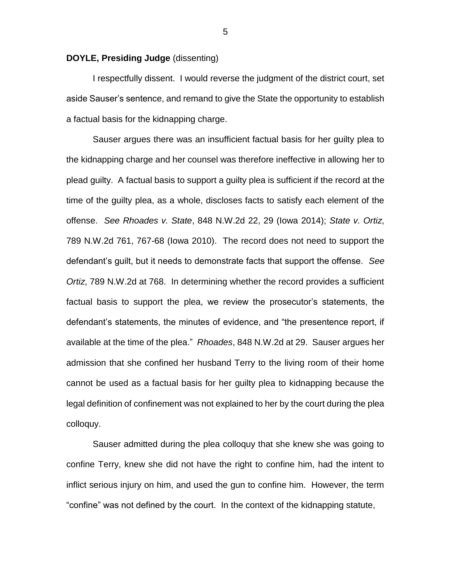## **DOYLE, Presiding Judge** (dissenting)

I respectfully dissent. I would reverse the judgment of the district court, set aside Sauser's sentence, and remand to give the State the opportunity to establish a factual basis for the kidnapping charge.

Sauser argues there was an insufficient factual basis for her guilty plea to the kidnapping charge and her counsel was therefore ineffective in allowing her to plead guilty. A factual basis to support a guilty plea is sufficient if the record at the time of the guilty plea, as a whole, discloses facts to satisfy each element of the offense. *See Rhoades v. State*, 848 N.W.2d 22, 29 (Iowa 2014); *State v. Ortiz*, 789 N.W.2d 761, 767-68 (Iowa 2010). The record does not need to support the defendant's guilt, but it needs to demonstrate facts that support the offense. *See Ortiz*, 789 N.W.2d at 768. In determining whether the record provides a sufficient factual basis to support the plea, we review the prosecutor's statements, the defendant's statements, the minutes of evidence, and "the presentence report, if available at the time of the plea." *Rhoades*, 848 N.W.2d at 29. Sauser argues her admission that she confined her husband Terry to the living room of their home cannot be used as a factual basis for her guilty plea to kidnapping because the legal definition of confinement was not explained to her by the court during the plea colloquy.

Sauser admitted during the plea colloquy that she knew she was going to confine Terry, knew she did not have the right to confine him, had the intent to inflict serious injury on him, and used the gun to confine him. However, the term "confine" was not defined by the court. In the context of the kidnapping statute,

5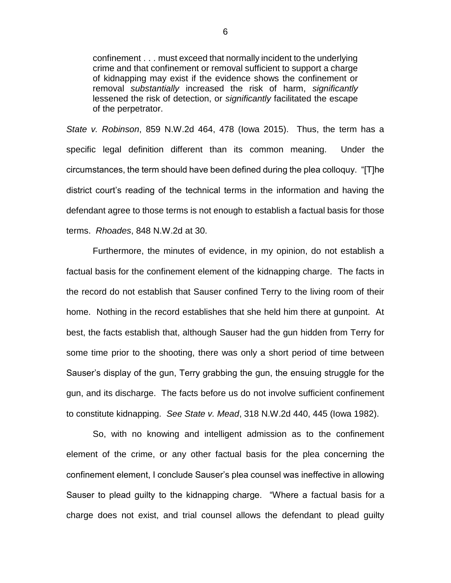confinement . . . must exceed that normally incident to the underlying crime and that confinement or removal sufficient to support a charge of kidnapping may exist if the evidence shows the confinement or removal *substantially* increased the risk of harm, *significantly* lessened the risk of detection, or *significantly* facilitated the escape of the perpetrator.

*State v. Robinson*, 859 N.W.2d 464, 478 (Iowa 2015). Thus, the term has a specific legal definition different than its common meaning. Under the circumstances, the term should have been defined during the plea colloquy. "[T]he district court's reading of the technical terms in the information and having the defendant agree to those terms is not enough to establish a factual basis for those terms. *Rhoades*, 848 N.W.2d at 30.

Furthermore, the minutes of evidence, in my opinion, do not establish a factual basis for the confinement element of the kidnapping charge. The facts in the record do not establish that Sauser confined Terry to the living room of their home. Nothing in the record establishes that she held him there at gunpoint. At best, the facts establish that, although Sauser had the gun hidden from Terry for some time prior to the shooting, there was only a short period of time between Sauser's display of the gun, Terry grabbing the gun, the ensuing struggle for the gun, and its discharge. The facts before us do not involve sufficient confinement to constitute kidnapping. *See State v. Mead*, 318 N.W.2d 440, 445 (Iowa 1982).

So, with no knowing and intelligent admission as to the confinement element of the crime, or any other factual basis for the plea concerning the confinement element, I conclude Sauser's plea counsel was ineffective in allowing Sauser to plead guilty to the kidnapping charge. "Where a factual basis for a charge does not exist, and trial counsel allows the defendant to plead guilty